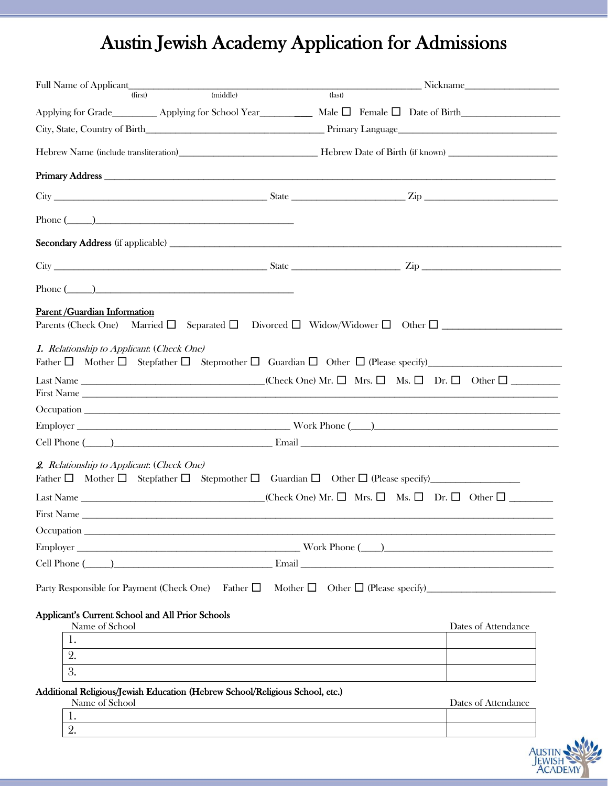# Austin Jewish Academy Application for Admissions

| (first)                                                            | (middle)                                                                                                                                        | $\overline{$ (last) |                     |
|--------------------------------------------------------------------|-------------------------------------------------------------------------------------------------------------------------------------------------|---------------------|---------------------|
|                                                                    |                                                                                                                                                 |                     |                     |
|                                                                    |                                                                                                                                                 |                     |                     |
|                                                                    |                                                                                                                                                 |                     |                     |
|                                                                    |                                                                                                                                                 |                     |                     |
|                                                                    |                                                                                                                                                 |                     |                     |
|                                                                    | Phone $(\_\_)$                                                                                                                                  |                     |                     |
|                                                                    |                                                                                                                                                 |                     |                     |
|                                                                    |                                                                                                                                                 |                     |                     |
|                                                                    | Phone $(\_\_)$                                                                                                                                  |                     |                     |
| Parent / Guardian Information                                      | Parents (Check One) Married $\square$ Separated $\square$ Divorced $\square$ Widow/Widower $\square$ Other $\square$                            |                     |                     |
| 1. Relationship to Applicant: (Check One)                          |                                                                                                                                                 |                     |                     |
|                                                                    | Last Name ___________________________________(Check One) Mr. $\square$ Mrs. $\square$ Ms. $\square$ Dr. $\square$ Other $\square$<br>First Name |                     |                     |
|                                                                    |                                                                                                                                                 |                     |                     |
|                                                                    |                                                                                                                                                 |                     |                     |
| 2. Relationship to Applicant: (Check One)                          |                                                                                                                                                 |                     |                     |
|                                                                    |                                                                                                                                                 |                     |                     |
|                                                                    |                                                                                                                                                 |                     |                     |
|                                                                    |                                                                                                                                                 |                     |                     |
|                                                                    |                                                                                                                                                 |                     |                     |
|                                                                    | Cell Phone (a) Email Email                                                                                                                      |                     |                     |
| Applicant's Current School and All Prior Schools<br>Name of School |                                                                                                                                                 |                     | Dates of Attendance |
| 1.                                                                 |                                                                                                                                                 |                     |                     |
| 2.                                                                 |                                                                                                                                                 |                     |                     |
| 3.                                                                 |                                                                                                                                                 |                     |                     |
| Name of School                                                     | Additional Religious/Jewish Education (Hebrew School/Religious School, etc.)                                                                    |                     | Dates of Attendance |
| 1.                                                                 |                                                                                                                                                 |                     |                     |
| 2.                                                                 |                                                                                                                                                 |                     |                     |

AUSTIN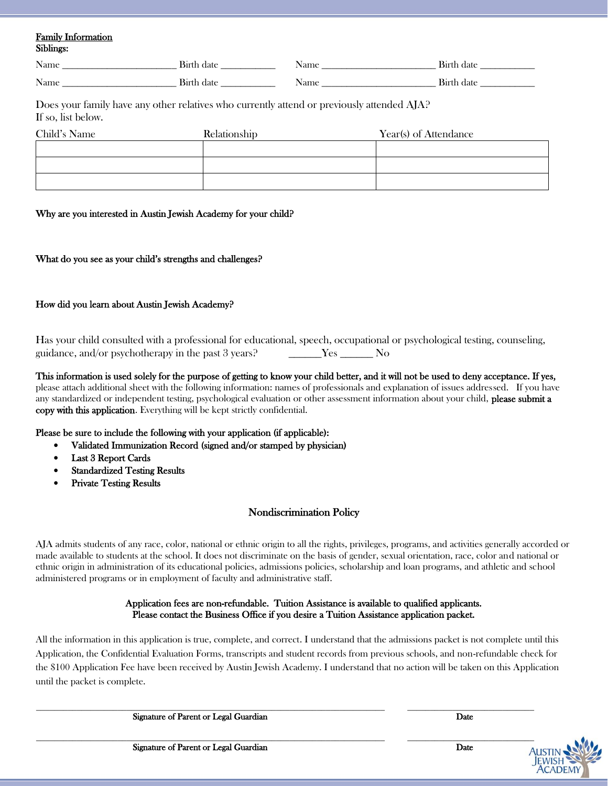# Family Information Siblings:

| <b>AT</b><br>Name<br>_________________<br>________<br>______ | . 81r               | Name<br>_________<br>_________<br>________ | . .<br>ua<br>______________ |
|--------------------------------------------------------------|---------------------|--------------------------------------------|-----------------------------|
| $\mathbf{r}$<br>Nam<br>_______                               | יי<br>_____________ | vame                                       | _____                       |

Does your family have any other relatives who currently attend or previously attended AJA? If so, list below.

| Child's Name | Relationship | Year(s) of Attendance |
|--------------|--------------|-----------------------|
|              |              |                       |
|              |              |                       |
|              |              |                       |

# Why are you interested in Austin Jewish Academy for your child?

# What do you see as your child's strengths and challenges?

# How did you learn about Austin Jewish Academy?

Has your child consulted with a professional for educational, speech, occupational or psychological testing, counseling, guidance, and/or psychotherapy in the past 3 years? The Yes The No

This information is used solely for the purpose of getting to know your child better, and it will not be used to deny acceptance. If yes, please attach additional sheet with the following information: names of professionals and explanation of issues addressed. If you have any standardized or independent testing, psychological evaluation or other assessment information about your child, please submit a copy with this application. Everything will be kept strictly confidential.

#### Please be sure to include the following with your application (if applicable):

- Validated Immunization Record (signed and/or stamped by physician)
- Last 3 Report Cards
- **Standardized Testing Results**
- Private Testing Results

# Nondiscrimination Policy

AJA admits students of any race, color, national or ethnic origin to all the rights, privileges, programs, and activities generally accorded or made available to students at the school. It does not discriminate on the basis of gender, sexual orientation, race, color and national or ethnic origin in administration of its educational policies, admissions policies, scholarship and loan programs, and athletic and school administered programs or in employment of faculty and administrative staff.

#### Application fees are non-refundable. Tuition Assistance is available to qualified applicants. Please contact the Business Office if you desire a Tuition Assistance application packet.

All the information in this application is true, complete, and correct. I understand that the admissions packet is not complete until this Application, the Confidential Evaluation Forms, transcripts and student records from previous schools, and non-refundable check for the \$100 Application Fee have been received by Austin Jewish Academy. I understand that no action will be taken on this Application until the packet is complete.

\_\_\_\_\_\_\_\_\_\_\_\_\_\_\_\_\_\_\_\_\_\_\_\_\_\_\_\_\_\_\_\_\_\_\_\_\_\_\_\_\_\_\_\_\_\_\_\_\_\_\_\_\_\_\_\_\_\_\_\_\_\_\_\_\_\_\_\_\_\_\_\_\_\_\_\_\_ \_\_\_\_\_\_\_\_\_\_\_\_\_\_\_\_\_\_\_\_\_\_\_\_\_\_\_\_

Signature of Parent or Legal Guardian Date of Parent or Legal Guardian Date

Signature of Parent or Legal Guardian Date